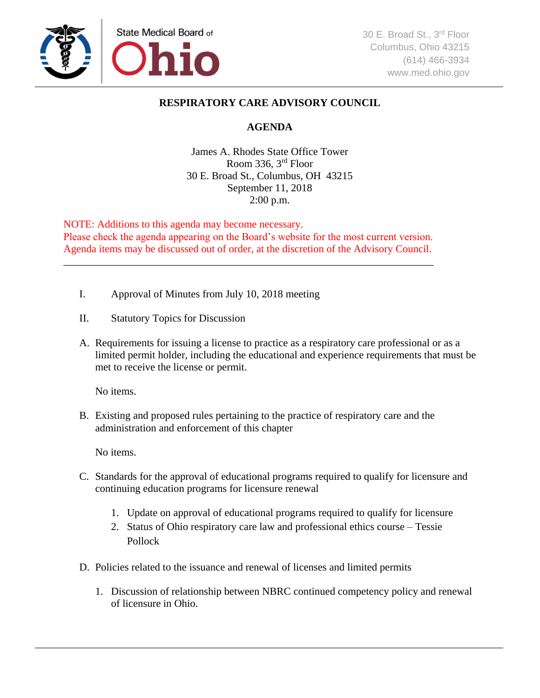

## **RESPIRATORY CARE ADVISORY COUNCIL**

## **AGENDA**

James A. Rhodes State Office Tower Room 336, 3rd Floor 30 E. Broad St., Columbus, OH 43215 September 11, 2018 2:00 p.m.

NOTE: Additions to this agenda may become necessary. Please check the agenda appearing on the Board's website for the most current version. Agenda items may be discussed out of order, at the discretion of the Advisory Council.

\_\_\_\_\_\_\_\_\_\_\_\_\_\_\_\_\_\_\_\_\_\_\_\_\_\_\_\_\_\_\_\_\_\_\_\_\_\_\_\_\_\_\_\_\_\_\_\_\_\_\_\_\_\_\_\_\_\_\_\_\_\_\_\_\_\_\_\_\_\_

- I. Approval of Minutes from July 10, 2018 meeting
- II. Statutory Topics for Discussion
- A. Requirements for issuing a license to practice as a respiratory care professional or as a limited permit holder, including the educational and experience requirements that must be met to receive the license or permit.

No items.

B. Existing and proposed rules pertaining to the practice of respiratory care and the administration and enforcement of this chapter

No items.

- C. Standards for the approval of educational programs required to qualify for licensure and continuing education programs for licensure renewal
	- 1. Update on approval of educational programs required to qualify for licensure
	- 2. Status of Ohio respiratory care law and professional ethics course Tessie Pollock
- D. Policies related to the issuance and renewal of licenses and limited permits
	- 1. Discussion of relationship between NBRC continued competency policy and renewal of licensure in Ohio.